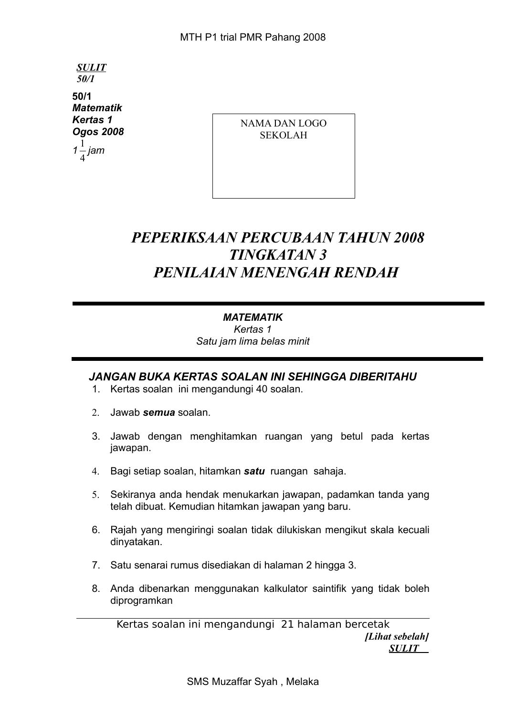*SULIT 50/1* **50/1** *Matematik Kertas 1 Ogos 2008* 1

*1* 4 *jam* NAMA DAN LOGO SEKOLAH

# *PEPERIKSAAN PERCUBAAN TAHUN 2008 TINGKATAN 3 PENILAIAN MENENGAH RENDAH*

### *MATEMATIK*

*Kertas 1 Satu jam lima belas minit*

# *JANGAN BUKA KERTAS SOALAN INI SEHINGGA DIBERITAHU*

- 1. Kertas soalan ini mengandungi 40 soalan.
- 2. Jawab *semua* soalan.
- 3. Jawab dengan menghitamkan ruangan yang betul pada kertas jawapan.
- 4. Bagi setiap soalan, hitamkan *satu* ruangan sahaja.
- 5. Sekiranya anda hendak menukarkan jawapan, padamkan tanda yang telah dibuat. Kemudian hitamkan jawapan yang baru.
- 6. Rajah yang mengiringi soalan tidak dilukiskan mengikut skala kecuali dinyatakan.
- 7. Satu senarai rumus disediakan di halaman 2 hingga 3.
- 8. Anda dibenarkan menggunakan kalkulator saintifik yang tidak boleh diprogramkan

Kertas soalan ini mengandungi 21 halaman bercetak *[Lihat sebelah] SULIT*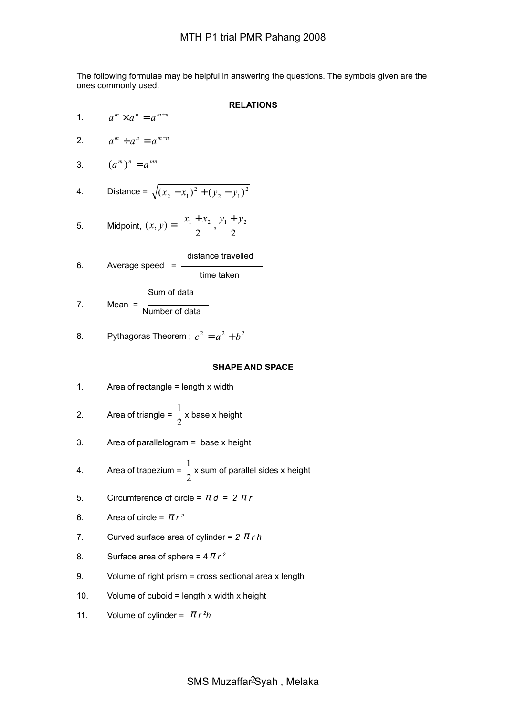The following formulae may be helpful in answering the questions. The symbols given are the ones commonly used.

**RELATIONS**

 $\overline{1}$ 

1.  $a^m \times a^n = a^{m+n}$ 2.  $a^m \div a^n = a^{m-n}$ 3.  $(a^m)^n = a^{mn}$ 4. Distance =  $\sqrt{(x_2 - x_1)^2 + (y_2 - y_1)^2}$ 2  $(x_2 - x_1)^2 + (y_2 - y_1)$ 5. Midpoint,  $(x, y) = \frac{x_1 + x_2}{2}, \frac{y_1 + y_2}{2}$  $\left(\frac{x_1 + x_2}{2}, \frac{y_1 + y_2}{2}\right)$ l  $=\left(\frac{x_1 + x_2}{2}, \frac{y_1 + y_2}{2}\right)$ 2 , 2  $(x, y) = \left(\frac{x_1 + x_2}{2}, \frac{y_1 + y_2}{2}\right)$ 6. Average speed  $=$   $$ distance travelled time taken Sum of data

$$
7. \qquad \text{Mean} = \frac{1}{\text{Number of data}}
$$

8. Pythagoras Theorem ; 
$$
c^2 = a^2 + b^2
$$

#### **SHAPE AND SPACE**

1. Area of rectangle = length  $x$  width

2. Area of triangle = 
$$
\frac{1}{2}
$$
 x base x height

3. Area of parallelogram = base x height

4. Area of trapezium = 
$$
\frac{1}{2}
$$
 x sum of parallel sides x height

- 5. Circumference of circle =  $\pi d = 2 \pi r$
- 6. Area of circle =  $\pi r^2$
- 7. Curved surface area of cylinder = *2* <sup>π</sup> *r h*
- 8. Surface area of sphere =  $4 \pi r^2$
- 9. Volume of right prism = cross sectional area x length
- 10. Volume of cuboid = length x width x height
- 11. Volume of cylinder =  $\pi r^2h$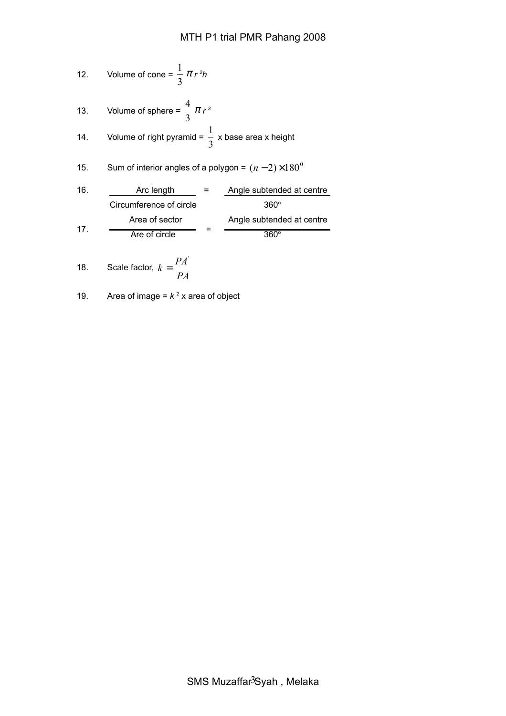12. Volume of cone = 
$$
\frac{1}{3} \pi r^2 h
$$

13. Volume of sphere = 
$$
\frac{4}{3} \pi r^3
$$
  
14. Volume of right pyramid =  $\frac{1}{3}$  x base area x height

15. Sum of interior angles of a polygon = 
$$
(n-2) \times 180^{\circ}
$$

| 16.                     | Arc length                | =             | Angle subtended at centre |
|-------------------------|---------------------------|---------------|---------------------------|
| Circumference of circle | $360^{\circ}$             |               |                           |
| Area of sector          | Angle subtended at centre |               |                           |
| 17.                     | Are of circle             | $360^{\circ}$ |                           |

18. Scale factor, 
$$
k = \frac{PA'}{PA}
$$

19. Area of image = 
$$
k^2
$$
 x area of object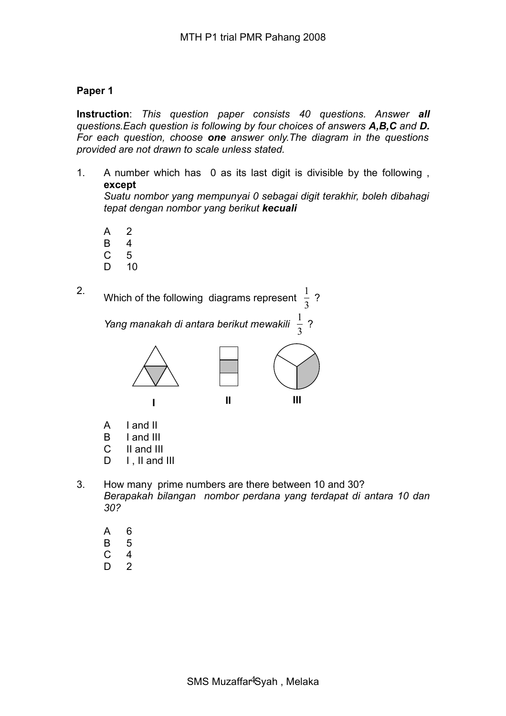## **Paper 1**

**Instruction**: *This question paper consists 40 questions. Answer all questions.Each question is following by four choices of answers A,B,C and D. For each question, choose one answer only.The diagram in the questions provided are not drawn to scale unless stated.*

1. A number which has 0 as its last digit is divisible by the following , **except**

*Suatu nombor yang mempunyai 0 sebagai digit terakhir, boleh dibahagi tepat dengan nombor yang berikut kecuali*

- A 2
- B 4
- C 5
- D 10
- 2. Which of the following diagrams represent 3 1 ?

*Yang manakah di antara berikut mewakili*  3 1 ?



- A I and II
- B I and III
- C II and III
- D I ll and III
- 3. How many prime numbers are there between 10 and 30? *Berapakah bilangan nombor perdana yang terdapat di antara 10 dan 30?* 
	- A 6
	- B 5
	- C 4
	- D 2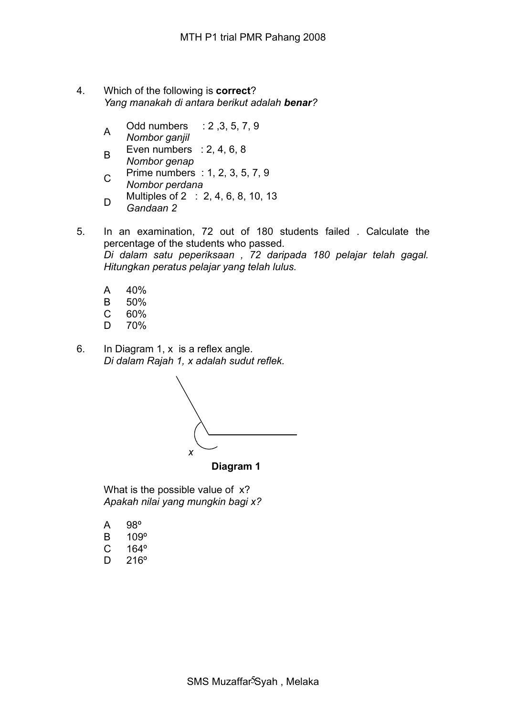- 4. Which of the following is **correct**? *Yang manakah di antara berikut adalah benar?*
	- A Odd numbers : 2 ,3, 5, 7, 9 *Nombor ganjil*
	- B Even numbers : 2, 4, 6, 8 *Nombor genap*
	- C Prime numbers : 1, 2, 3, 5, 7, 9
	- *Nombor perdana* D Multiples of 2 : 2, 4, 6, 8, 10, 13 *Gandaan 2*
- 5. In an examination, 72 out of 180 students failed . Calculate the percentage of the students who passed. *Di dalam satu peperiksaan , 72 daripada 180 pelajar telah gagal. Hitungkan peratus pelajar yang telah lulus.*
	- A 40%
	- B 50%
	- C 60%
	- D 70%
- 6. In Diagram 1, x is a reflex angle. *Di dalam Rajah 1, x adalah sudut reflek.*



 **Diagram 1**

What is the possible value of x? *Apakah nilai yang mungkin bagi x?*

- A 98º
- B 109º
- C 164º
- D 216º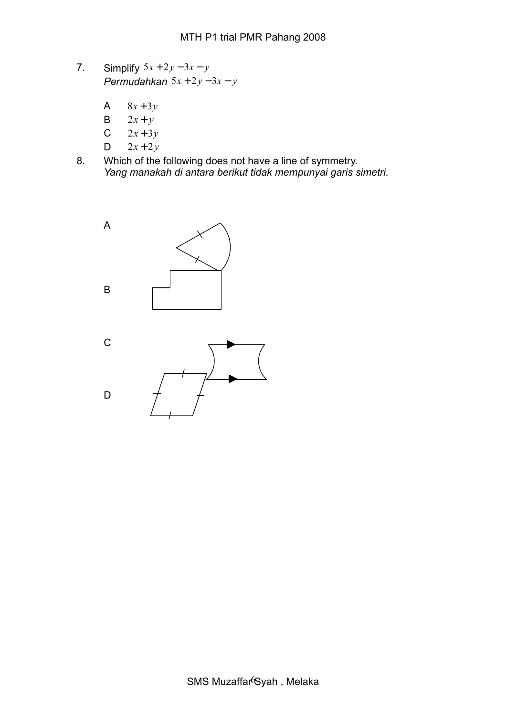- 7. Simplify 5*x* + 2*y* − 3*x* − *y Permudahkan* 5*x* + 2*y* − 3*x* − *y*
	- A  $8x + 3y$
	- B  $2x + y$
	- $C = 2x + 3y$
	- $D \t 2x + 2y$
- 8. Which of the following does not have a line of symmetry. *Yang manakah di antara berikut tidak mempunyai garis simetri*.

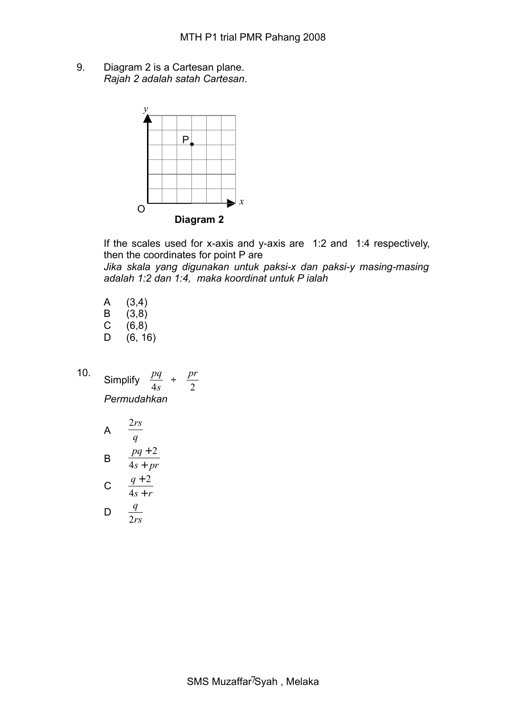9. Diagram 2 is a Cartesan plane. *Rajah 2 adalah satah Cartesan*.



If the scales used for x-axis and y-axis are 1:2 and 1:4 respectively, then the coordinates for point P are

*Jika skala yang digunakan untuk paksi-x dan paksi-y masing-masing adalah 1:2 dan 1:4, maka koordinat untuk P ialah* 

- A (3,4)  $\begin{matrix} B & (3,8) \\ C & (6,8) \end{matrix}$  $(6,8)$
- D (6, 16)
- 10. Simplify *s pq* 4 ÷ 2 *pr Permudahkan*

A 
$$
\frac{2rs}{q}
$$
  
B 
$$
\frac{pq+2}{4s+pr}
$$
  
C 
$$
\frac{q+2}{4s+r}
$$
  
D 
$$
\frac{q}{2rs}
$$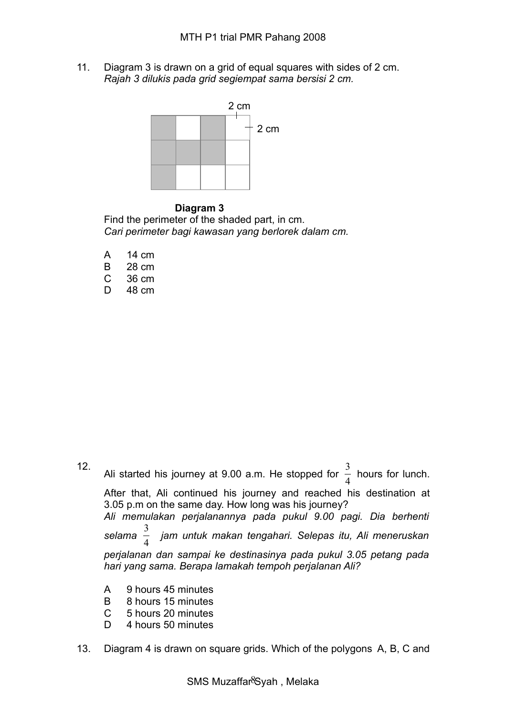11. Diagram 3 is drawn on a grid of equal squares with sides of 2 cm. *Rajah 3 dilukis pada grid segiempat sama bersisi 2 cm.*



#### **Diagram 3**

Find the perimeter of the shaded part, in cm. *Cari perimeter bagi kawasan yang berlorek dalam cm.*

- A 14 cm B 28 cm
- C 36 cm
- D 48 cm

12.

Ali started his journey at 9.00 a.m. He stopped for 4 3 hours for lunch. After that, Ali continued his journey and reached his destination at 3.05 p.m on the same day. How long was his journey? *Ali memulakan perjalanannya pada pukul 9.00 pagi. Dia berhenti selama* 4 3 *jam untuk makan tengahari. Selepas itu, Ali meneruskan perjalanan dan sampai ke destinasinya pada pukul 3.05 petang pada hari yang sama. Berapa lamakah tempoh perjalanan Ali?* 

- A 9 hours 45 minutes
- B 8 hours 15 minutes
- C 5 hours 20 minutes
- D 4 hours 50 minutes
- 13. Diagram 4 is drawn on square grids. Which of the polygons A, B, C and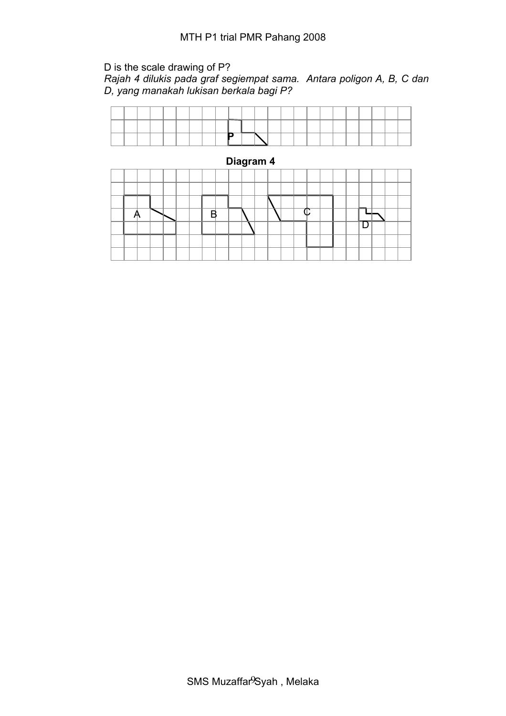# D is the scale drawing of P?

*Rajah 4 dilukis pada graf segiempat sama. Antara poligon A, B, C dan D, yang manakah lukisan berkala bagi P?*

|  |  |  |  | -- |  |  |  |  |  |  |  |
|--|--|--|--|----|--|--|--|--|--|--|--|

 **Diagram 4**  $A \times$  B N V  $\circ$ 口  $\overline{\mathsf{D}}$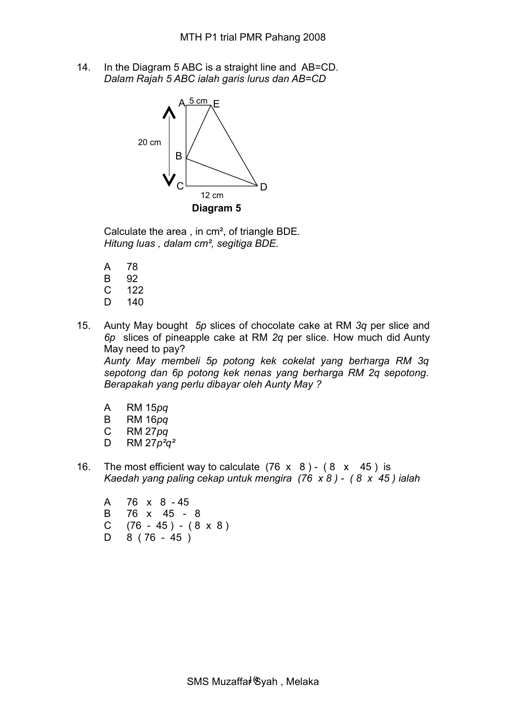14. In the Diagram 5 ABC is a straight line and AB=CD. *Dalam Rajah 5 ABC ialah garis lurus dan AB=CD*



Calculate the area , in cm², of triangle BDE*. Hitung luas , dalam cm², segitiga BDE.*

- A 78
- B 92
- C 122
- D 140
- 15. Aunty May bought *5p* slices of chocolate cake at RM *3q* per slice and *6p* slices of pineapple cake at RM *2q* per slice. How much did Aunty May need to pay?

*Aunty May membeli 5p potong kek cokelat yang berharga RM 3q sepotong dan 6p potong kek nenas yang berharga RM 2q sepotong. Berapakah yang perlu dibayar oleh Aunty May ?*

- A RM 15*pq*
- B RM 16*pq*
- C RM 27*pq*
- D RM 27*p²q²*
- 16. The most efficient way to calculate  $(76 \times 8) (8 \times 45)$  is *Kaedah yang paling cekap untuk mengira (76 x 8 ) - ( 8 x 45 ) ialah*

A 76 x 8 - 45 B 76 x 45 - 8 C  $(76 - 45) - (8 \times 8)$  $D \quad 8 \quad (76 - 45)$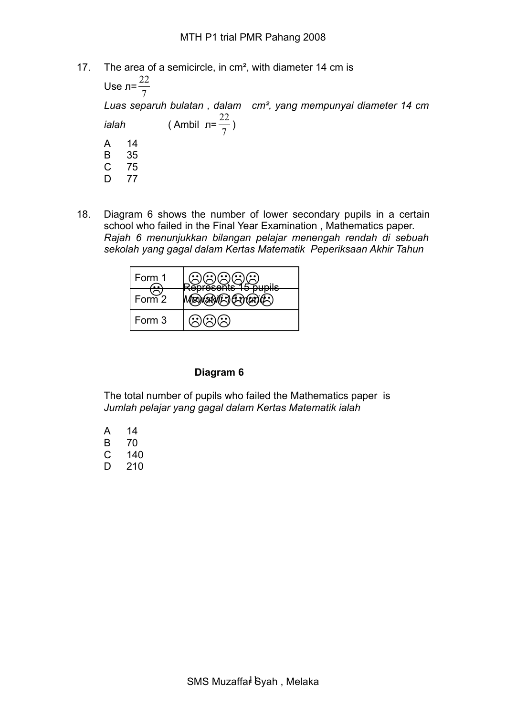17. The area of a semicircle, in cm², with diameter 14 cm is

Use л= 7 22 *Luas separuh bulatan , dalam cm², yang mempunyai diameter 14 cm ialah* ( Ambil л= 7  $\frac{22}{7}$ A 14 B 35<br>C 75 C 75 D 77

18. Diagram 6 shows the number of lower secondary pupils in a certain school who failed in the Final Year Examination , Mathematics paper. *Rajah 6 menunjukkan bilangan pelajar menengah rendah di sebuah sekolah yang gagal dalam Kertas Matematik Peperiksaan Akhir Tahun*

| Form 1   | <b>Kunile</b><br><b>Anraconte</b><br><del>orcocnio</del> |
|----------|----------------------------------------------------------|
| Form $2$ |                                                          |
| Form 3   |                                                          |

#### **Diagram 6**

The total number of pupils who failed the Mathematics paper is *Jumlah pelajar yang gagal dalam Kertas Matematik ialah* 

| А | 14  |
|---|-----|
| R | 70  |
| C | 140 |
| D | 210 |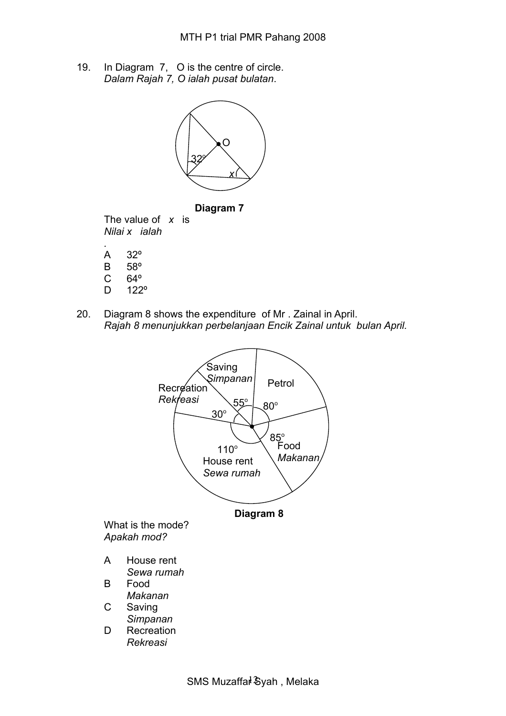19. In Diagram 7, O is the centre of circle. *Dalam Rajah 7, O ialah pusat bulatan*.





The value of *x* is *Nilai x ialah*

- *.* A 32º
- B 58º
- C 64º
- D 122º
- 20. Diagram 8 shows the expenditure of Mr . Zainal in April. *Rajah 8 menunjukkan perbelanjaan Encik Zainal untuk bulan April.*

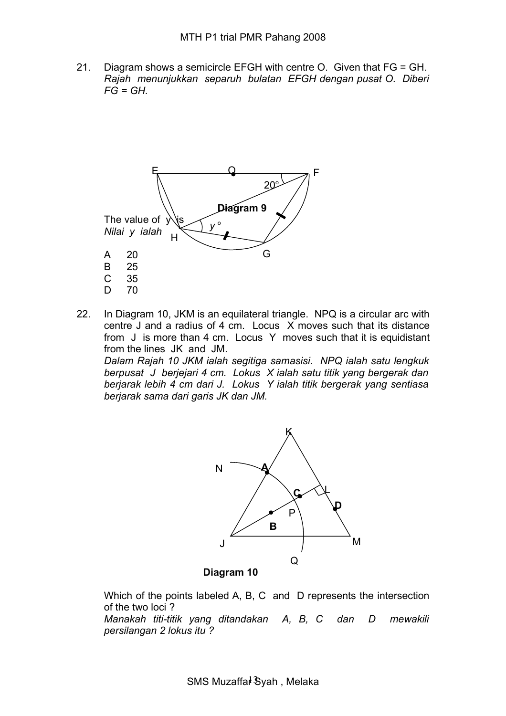21. Diagram shows a semicircle EFGH with centre O. Given that FG = GH. *Rajah menunjukkan separuh bulatan EFGH dengan pusat O. Diberi*  $FG = GH$ 



22. In Diagram 10, JKM is an equilateral triangle. NPQ is a circular arc with centre J and a radius of 4 cm. Locus X moves such that its distance from J is more than 4 cm. Locus Y moves such that it is equidistant from the lines JK and JM.

*Dalam Rajah 10 JKM ialah segitiga samasisi. NPQ ialah satu lengkuk berpusat J berjejari 4 cm. Lokus X ialah satu titik yang bergerak dan berjarak lebih 4 cm dari J. Lokus Y ialah titik bergerak yang sentiasa berjarak sama dari garis JK dan JM.*



 **Diagram 10**

Which of the points labeled A, B, C and D represents the intersection of the two loci ? *Manakah titi-titik yang ditandakan A, B, C dan D mewakili*

*persilangan 2 lokus itu ?*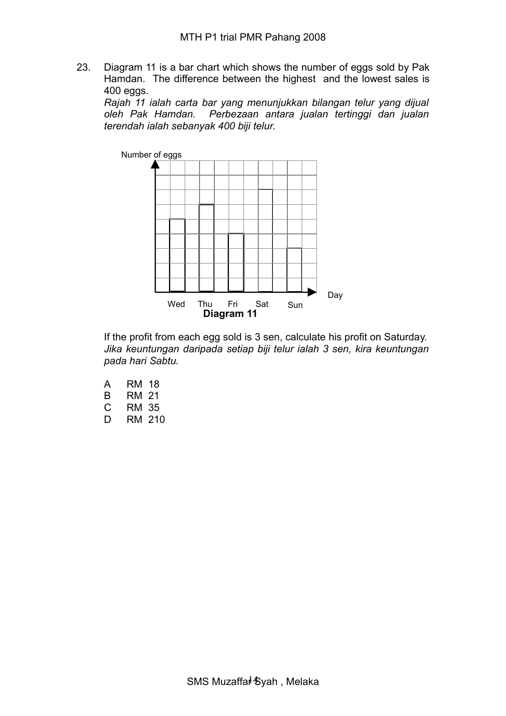23. Diagram 11 is a bar chart which shows the number of eggs sold by Pak Hamdan. The difference between the highest and the lowest sales is 400 eggs.

*Rajah 11 ialah carta bar yang menunjukkan bilangan telur yang dijual oleh Pak Hamdan. Perbezaan antara jualan tertinggi dan jualan terendah ialah sebanyak 400 biji telur.* 



If the profit from each egg sold is 3 sen, calculate his profit on Saturday. *Jika keuntungan daripada setiap biji telur ialah 3 sen, kira keuntungan pada hari Sabtu.*

- A RM 18 B RM 21 C RM 35
- D RM 210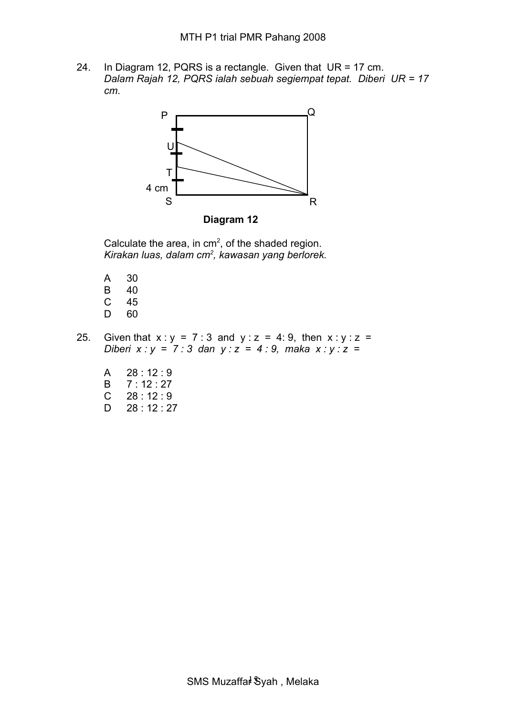24. In Diagram 12, PQRS is a rectangle. Given that UR = 17 cm. *Dalam Rajah 12, PQRS ialah sebuah segiempat tepat. Diberi UR = 17 cm.*



Calculate the area, in  $cm<sup>2</sup>$ , of the shaded region. *Kirakan luas, dalam cm<sup>2</sup> , kawasan yang berlorek.*

- A 30 B 40 C 45 D 60
- 25. Given that  $x : y = 7 : 3$  and  $y : z = 4 : 9$ , then  $x : y : z = 25$ *Diberi x : y = 7 : 3 dan y : z = 4 : 9, maka x : y : z =*
	- A 28 : 12 : 9
	- B 7 : 12 : 27
	- $C = 28 : 12 : 9$
	- D 28 : 12 : 27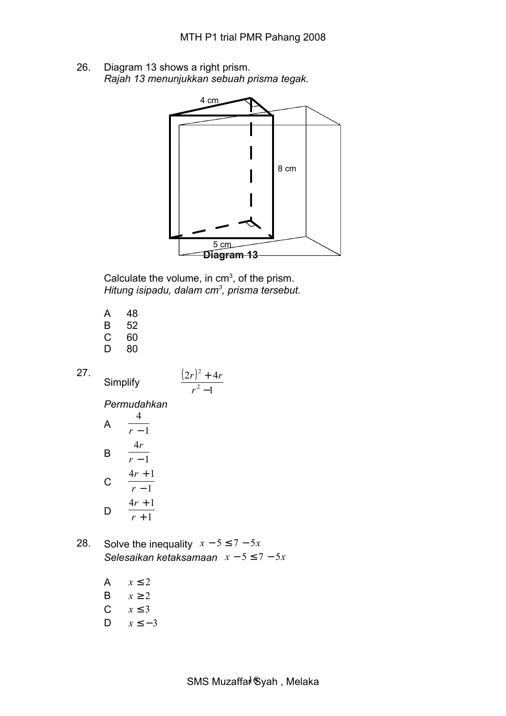26. Diagram 13 shows a right prism. *Rajah 13 menunjukkan sebuah prisma tegak.*



Calculate the volume, in  $cm<sup>3</sup>$ , of the prism. *Hitung isipadu, dalam cm<sup>3</sup> , prisma tersebut.*

| A | 48 |
|---|----|
| B | 52 |
| С | 60 |
| D | 80 |

**Simplify** 

27.

$$
\frac{(2r)^2+4r}{r^2-1}
$$

*Permudahkan*

A 
$$
\frac{4}{r-1}
$$
  
B  $\frac{4r}{r-1}$   
C  $\frac{4r+1}{r-1}$   
D  $\frac{4r+1}{r+1}$ 

28. Solve the inequality  $x - 5 \le 7 - 5x$ *Selesaikan ketaksamaan x* − 5 ≤ 7 − 5*x*

> A  $x < 2$ B  $x \ge 2$ C  $x \leq 3$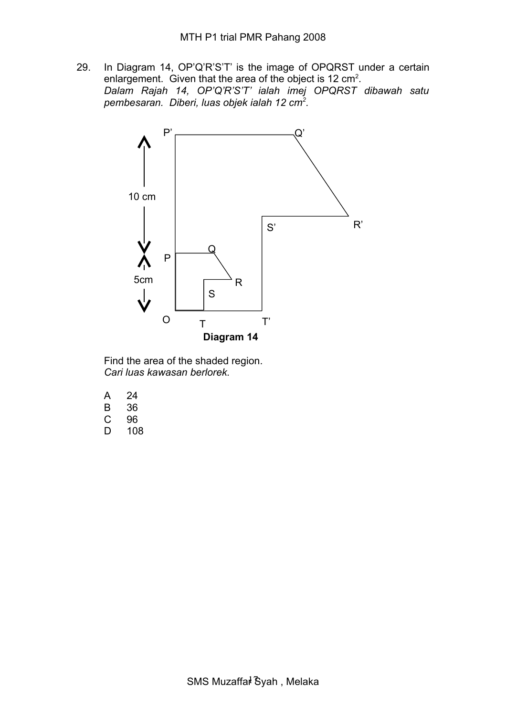29. In Diagram 14, OP'Q'R'S'T' is the image of OPQRST under a certain enlargement. Given that the area of the object is 12 cm<sup>2</sup>. *Dalam Rajah 14, OP'Q'R'S'T' ialah imej OPQRST dibawah satu pembesaran. Diberi, luas objek ialah 12 cm<sup>2</sup> .* 



Find the area of the shaded region. *Cari luas kawasan berlorek.*

- A 24
- B 36<br>C 96
- C 96
- D 108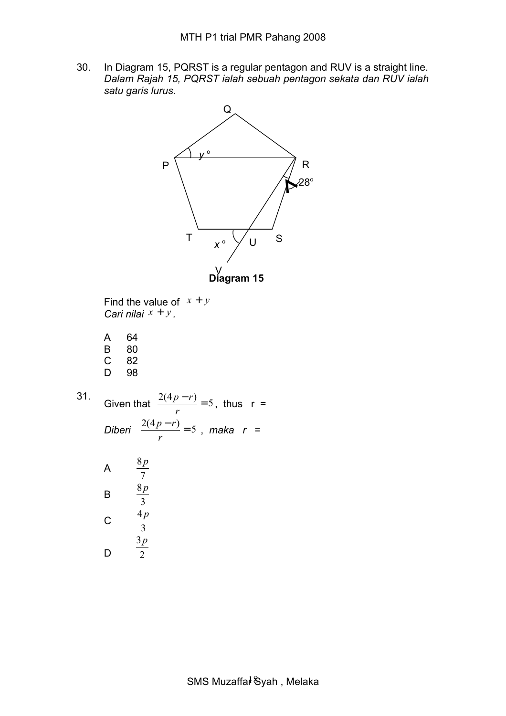30. In Diagram 15, PQRST is a regular pentagon and RUV is a straight line. *Dalam Rajah 15, PQRST ialah sebuah pentagon sekata dan RUV ialah satu garis lurus.*



Find the value of  $x + y$ *Cari nilai x* + *y .* 

- A 64 B 80<br>C 82 C 82
- D 98

31. Given that  $\frac{2(4p-r)}{2} = 5$ *r p r* , thus  $r =$ *Diberi*  $\frac{2(4p-r)}{2} = 5$ *r p r* , *maka r* =

A 
$$
\begin{array}{r}\n \stackrel{8p}{7} \\
\stackrel{8p}{3} \\
\stackrel{4p}{3} \\
\stackrel{3p}{9}\n \end{array}
$$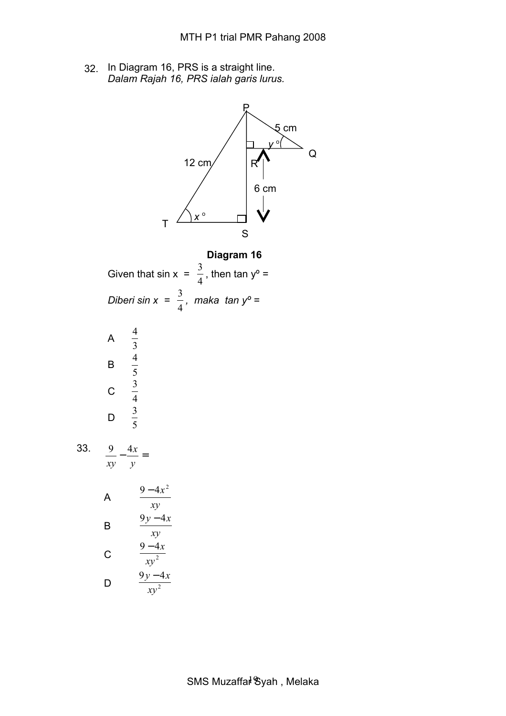32. In Diagram 16, PRS is a straight line. *Dalam Rajah 16, PRS ialah garis lurus.*

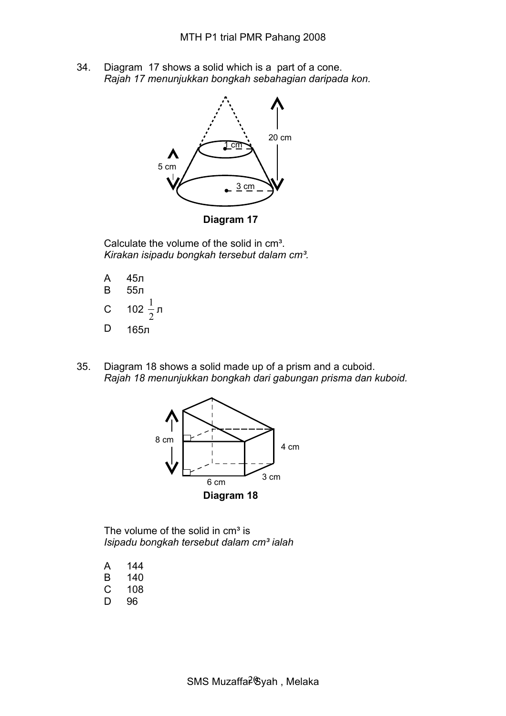34. Diagram 17 shows a solid which is a part of a cone. *Rajah 17 menunjukkan bongkah sebahagian daripada kon.* 



Calculate the volume of the solid in cm<sup>3</sup>.

*Kirakan isipadu bongkah tersebut dalam cm³.*

| А  | 45л                      |
|----|--------------------------|
| B  | 55л                      |
| C. | I<br>102 $\frac{1}{2}$ л |
| D) | 165л                     |

35. Diagram 18 shows a solid made up of a prism and a cuboid. *Rajah 18 menunjukkan bongkah dari gabungan prisma dan kuboid.* 



The volume of the solid in  $cm<sup>3</sup>$  is *Isipadu bongkah tersebut dalam cm³ ialah*

- A 144
- B 140
- C 108
- D 96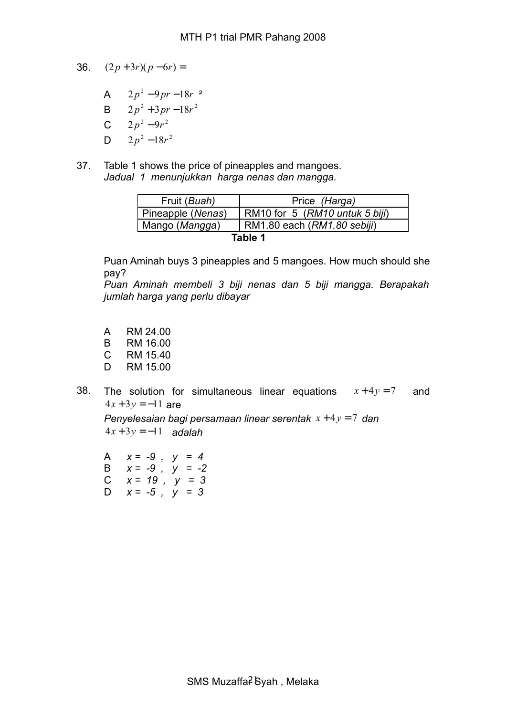- 36.  $(2p+3r)(p-6r) =$ 
	- A  $2p^2-9pr-18r^2$
	- **B**  $2p^2 + 3pr 18r^2$
	- C  $2p^2-9r^2$
	- D  $2p^2-18r^2$
- 37. Table 1 shows the price of pineapples and mangoes. *Jadual 1 menunjukkan harga nenas dan mangga.*

|         | Fruit (Buah)      | Price (Harga)                  |  |  |  |
|---------|-------------------|--------------------------------|--|--|--|
|         | Pineapple (Nenas) | RM10 for 5 (RM10 untuk 5 biji) |  |  |  |
|         | Mango (Mangga)    | RM1.80 each (RM1.80 sebiji)    |  |  |  |
| Table 1 |                   |                                |  |  |  |

Puan Aminah buys 3 pineapples and 5 mangoes. How much should she pay?

*Puan Aminah membeli 3 biji nenas dan 5 biji mangga. Berapakah jumlah harga yang perlu dibayar*

- A RM 24.00
- B RM 16.00
- C RM 15.40
- D RM 15.00
- 38. The solution for simultaneous linear equations  $x + 4y = 7$  and  $4x + 3y = -11$  are

*Penyelesaian bagi persamaan linear serentak x* + 4*y* = 7 *dan* 4*x* + 3*y* = −11 *adalah*

A *x = -9 , y = 4*  B *x = -9 , y = -2*  C *x = 19 , y = 3*  D *x = -5 , y = 3*